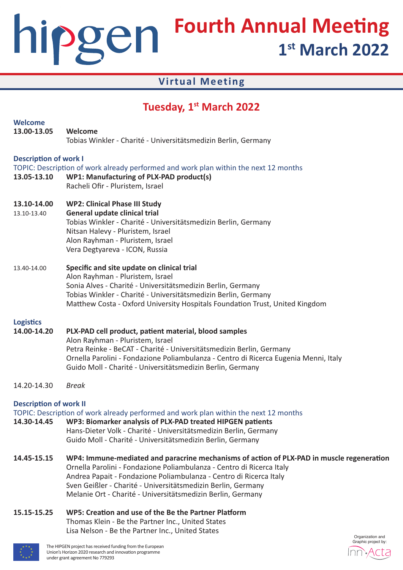# **Fourth Annual Meeting** hipgen **1st March 2022**

### **Virtual Meeting**

## **Tuesday, 1st March 2022**

| <b>Welcome</b><br>13.00-13.05               | Welcome<br>Tobias Winkler - Charité - Universitätsmedizin Berlin, Germany                                                                                                                                                                                                                                                                                               |                  |
|---------------------------------------------|-------------------------------------------------------------------------------------------------------------------------------------------------------------------------------------------------------------------------------------------------------------------------------------------------------------------------------------------------------------------------|------------------|
| <b>Description of work I</b><br>13.05-13.10 | TOPIC: Description of work already performed and work plan within the next 12 months<br>WP1: Manufacturing of PLX-PAD product(s)<br>Racheli Ofir - Pluristem, Israel                                                                                                                                                                                                    |                  |
| 13.10-14.00<br>13.10-13.40                  | <b>WP2: Clinical Phase III Study</b><br>General update clinical trial<br>Tobias Winkler - Charité - Universitätsmedizin Berlin, Germany<br>Nitsan Halevy - Pluristem, Israel<br>Alon Rayhman - Pluristem, Israel<br>Vera Degtyareva - ICON, Russia                                                                                                                      |                  |
| 13.40-14.00                                 | Specific and site update on clinical trial<br>Alon Rayhman - Pluristem, Israel<br>Sonia Alves - Charité - Universitätsmedizin Berlin, Germany<br>Tobias Winkler - Charité - Universitätsmedizin Berlin, Germany<br>Matthew Costa - Oxford University Hospitals Foundation Trust, United Kingdom                                                                         |                  |
| <b>Logistics</b><br>14.00-14.20             | PLX-PAD cell product, patient material, blood samples<br>Alon Rayhman - Pluristem, Israel<br>Petra Reinke - BeCAT - Charité - Universitätsmedizin Berlin, Germany<br>Ornella Parolini - Fondazione Poliambulanza - Centro di Ricerca Eugenia Menni, Italy<br>Guido Moll - Charité - Universitätsmedizin Berlin, Germany                                                 |                  |
| 14.20-14.30                                 | <b>Break</b>                                                                                                                                                                                                                                                                                                                                                            |                  |
| <b>Description of work II</b>               | TOPIC: Description of work already performed and work plan within the next 12 months<br>14.30-14.45 WP3: Biomarker analysis of PLX-PAD treated HIPGEN patients<br>Hans-Dieter Volk - Charité - Universitätsmedizin Berlin, Germany<br>Guido Moll - Charité - Universitätsmedizin Berlin, Germany                                                                        |                  |
| 14.45-15.15                                 | WP4: Immune-mediated and paracrine mechanisms of action of PLX-PAD in muscle regeneration<br>Ornella Parolini - Fondazione Poliambulanza - Centro di Ricerca Italy<br>Andrea Papait - Fondazione Poliambulanza - Centro di Ricerca Italy<br>Sven Geißler - Charité - Universitätsmedizin Berlin, Germany<br>Melanie Ort - Charité - Universitätsmedizin Berlin, Germany |                  |
| 15.15-15.25                                 | WP5: Creation and use of the Be the Partner Platform<br>Thomas Klein - Be the Partner Inc., United States<br>Lisa Nelson - Be the Partner Inc., United States                                                                                                                                                                                                           | Organization and |